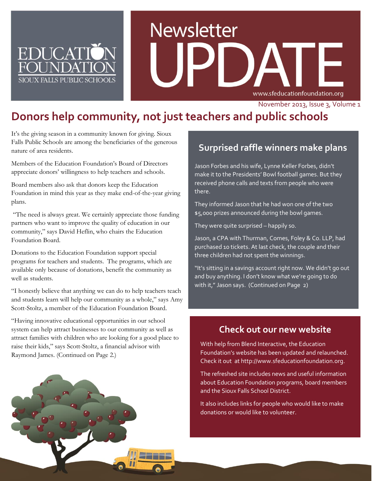

# **Newsletter** www.sfeducationfoundation.org

November 2013, Issue 3, Volume 1

# **Donors help community, not just teachers and public schools**

It's the giving season in a community known for giving. Sioux Falls Public Schools are among the beneficiaries of the generous nature of area residents.

Members of the Education Foundation's Board of Directors appreciate donors' willingness to help teachers and schools.

Board members also ask that donors keep the Education Foundation in mind this year as they make end-of-the-year giving plans.

"The need is always great. We certainly appreciate those funding partners who want to improve the quality of education in our community," says David Heflin, who chairs the Education Foundation Board.

Donations to the Education Foundation support special programs for teachers and students. The programs, which are available only because of donations, benefit the community as well as students.

"I honestly believe that anything we can do to help teachers teach and students learn will help our community as a whole," says Amy Scott-Stoltz, a member of the Education Foundation Board.

"Having innovative educational opportunities in our school system can help attract businesses to our community as well as attract families with children who are looking for a good place to raise their kids," says Scott-Stoltz, a financial advisor with Raymond James. (Continued on Page 2.)



## **Surprised raffle winners make plans**

Jason Forbes and his wife, Lynne Keller Forbes, didn't make it to the Presidents' Bowl football games. But they received phone calls and texts from people who were there.

They informed Jason that he had won one of the two \$5,000 prizes announced during the bowl games.

They were quite surprised – happily so.

Jason, a CPA with Thurman, Comes, Foley & Co. LLP, had purchased 10 tickets. At last check, the couple and their three children had not spent the winnings.

"It's sitting in a savings account right now. We didn't go out and buy anything. I don't know what we're going to do with it," Jason says. (Continued on Page 2)

#### **Check out our new website**

With help from Blend Interactive, the Education Foundation's website has been updated and relaunched. Check it out a[t http://www.sfeducationfoundation.org.](http://www.sfeducationfoundation.org/)

The refreshed site includes news and useful information about Education Foundation programs, board members and the Sioux Falls School District.

It also includes links for people who would like to make donations or would like to volunteer.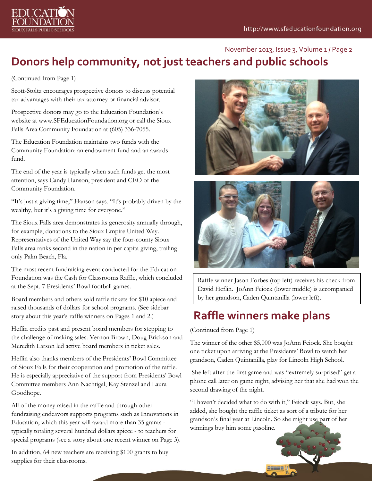

## **Donors help community, not just teachers and public schools** November 2013, Issue 3, Volume 1 / Page 2

(Continued from Page 1)

Scott-Stoltz encourages prospective donors to discuss potential tax advantages with their tax attorney or financial advisor.

Prospective donors may go to the Education Foundation's website at [www.SFEducationFoundation.org](http://www.sfeducationfoundation.org/) or call the Sioux Falls Area Community Foundation at (605) 336-7055.

The Education Foundation maintains two funds with the Community Foundation: an endowment fund and an awards fund.

The end of the year is typically when such funds get the most attention, says Candy Hanson, president and CEO of the Community Foundation.

"It's just a giving time," Hanson says. "It's probably driven by the wealthy, but it's a giving time for everyone."

The Sioux Falls area demonstrates its generosity annually through, for example, donations to the Sioux Empire United Way. Representatives of the United Way say the four-county Sioux Falls area ranks second in the nation in per capita giving, trailing only Palm Beach, Fla.

The most recent fundraising event conducted for the Education Foundation was the Cash for Classrooms Raffle, which concluded at the Sept. 7 Presidents' Bowl football games.

Board members and others sold raffle tickets for \$10 apiece and raised thousands of dollars for school programs. (See sidebar story about this year's raffle winners on Pages 1 and 2.)

Heflin credits past and present board members for stepping to the challenge of making sales. Vernon Brown, Doug Erickson and Meredith Larson led active board members in ticket sales.

Heflin also thanks members of the Presidents' Bowl Committee of Sioux Falls for their cooperation and promotion of the raffle. He is especially appreciative of the support from Presidents' Bowl Committee members Ann Nachtigal, Kay Stenzel and Laura Goodhope.

All of the money raised in the raffle and through other fundraising endeavors supports programs such as Innovations in Education, which this year will award more than 35 grants typically totaling several hundred dollars apiece - to teachers for special programs (see a story about one recent winner on Page 3).

In addition, 64 new teachers are receiving \$100 grants to buy supplies for their classrooms.





Raffle winner Jason Forbes (top left) receives his check from David Heflin. JoAnn Feiock (lower middle) is accompanied by her grandson, Caden Quintanilla (lower left).

# **Raffle winners make plans**

(Continued from Page 1)

The winner of the other \$5,000 was JoAnn Feiock. She bought one ticket upon arriving at the Presidents' Bowl to watch her grandson, Caden Quintanilla, play for Lincoln High School.

She left after the first game and was "extremely surprised" get a phone call later on game night, advising her that she had won the second drawing of the night.

"I haven't decided what to do with it," Feiock says. But, she added, she bought the raffle ticket as sort of a tribute for her grandson's final year at Lincoln. So she might use part of her winnings buy him some gasoline.

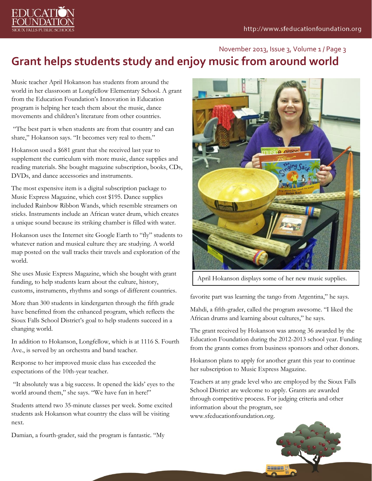

### **Grant helps students study and enjoy music from around world** November 2013, Issue 3, Volume 1 / Page 3

Music teacher April Hokanson has students from around the world in her classroom at Longfellow Elementary School. A grant from the Education Foundation's Innovation in Education program is helping her teach them about the music, dance movements and children's literature from other countries.

"The best part is when students are from that country and can share," Hokanson says. "It becomes very real to them."

Hokanson used a \$681 grant that she received last year to supplement the curriculum with more music, dance supplies and reading materials. She bought magazine subscription, books, CDs, DVDs, and dance accessories and instruments.

The most expensive item is a digital subscription package to Music Express Magazine, which cost \$195. Dance supplies included Rainbow Ribbon Wands, which resemble streamers on sticks. Instruments include an African water drum, which creates a unique sound because its striking chamber is filled with water.

Hokanson uses the Internet site Google Earth to "fly" students to whatever nation and musical culture they are studying. A world map posted on the wall tracks their travels and exploration of the world.

She uses Music Express Magazine, which she bought with grant funding, to help students learn about the culture, history, customs, instruments, rhythms and songs of different countries.

More than 300 students in kindergarten through the fifth grade have benefitted from the enhanced program, which reflects the Sioux Falls School District's goal to help students succeed in a changing world.

In addition to Hokanson, Longfellow, which is at 1116 S. Fourth Ave., is served by an orchestra and band teacher.

Response to her improved music class has exceeded the expectations of the 10th-year teacher.

"It absolutely was a big success. It opened the kids' eyes to the world around them," she says. "We have fun in here!"

Students attend two 35-minute classes per week. Some excited students ask Hokanson what country the class will be visiting next.

Damian, a fourth-grader, said the program is fantastic. "My



April Hokanson displays some of her new music supplies.

favorite part was learning the tango from Argentina," he says.

Mahdi, a fifth-grader, called the program awesome. "I liked the African drums and learning about cultures," he says.

The grant received by Hokanson was among 36 awarded by the Education Foundation during the 2012-2013 school year. Funding from the grants comes from business sponsors and other donors.

Hokanson plans to apply for another grant this year to continue her subscription to Music Express Magazine.

Teachers at any grade level who are employed by the Sioux Falls School District are welcome to apply. Grants are awarded through competitive process. For judging criteria and other information about the program, see [www.sfeducationfoundation.org.](http://www.sfeducationfoundation.org/)